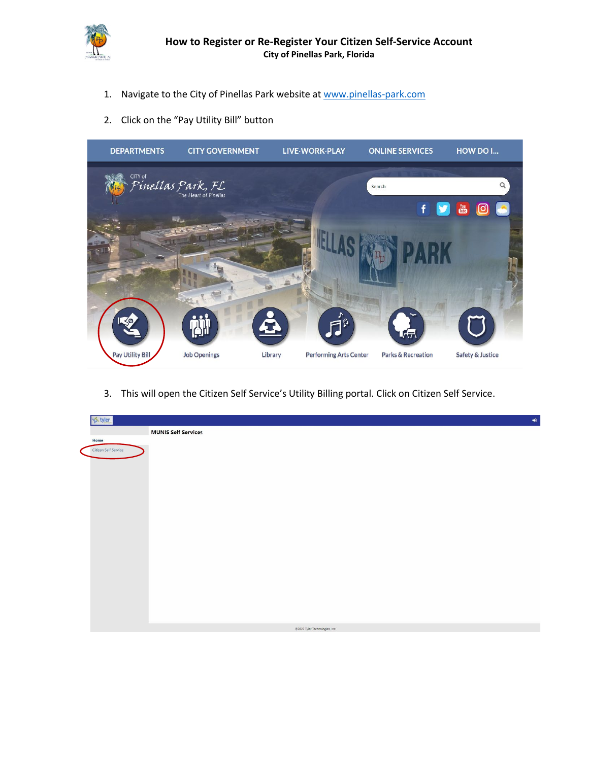

- 1. Navigate to the City of Pinellas Park website at [www.pinellas-park.com](http://www.pinellas-park.com/)
- 2. Click on the "Pay Utility Bill" button



3. This will open the Citizen Self Service's Utility Billing portal. Click on Citizen Self Service.

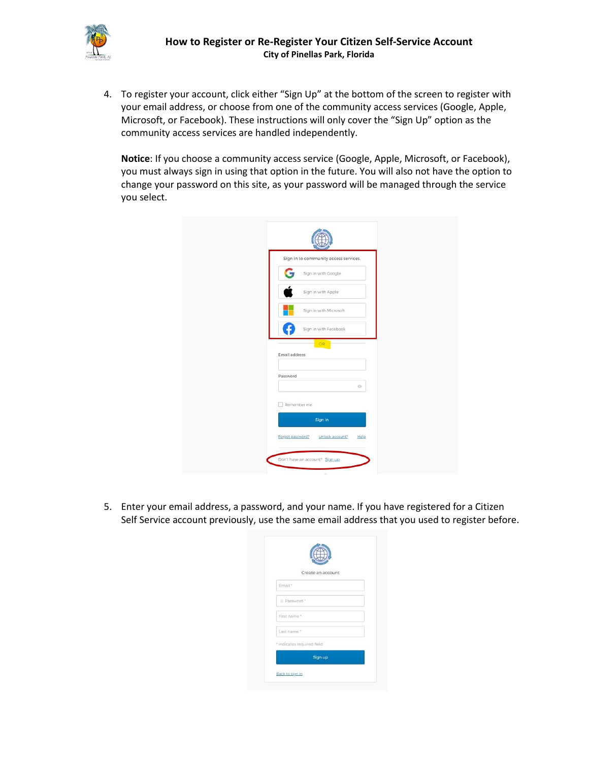

4. To register your account, click either "Sign Up" at the bottom of the screen to register with your email address, or choose from one of the community access services (Google, Apple, your email address, or choose from one of the community access services (Google, Apple, Microsoft, or Facebook). These instructions will only cover the "Sign Up" option as the community access services are handled independently.

**Notice**: If you choose a community access service (Google, Apple, Microsoft, or Facebook), Notice: if you enouse a community access service (doogle, Apple, Microsoft, or Facebook),<br>you must always sign in using that option in the future. You will also not have the option to change your password on this site, as your password will be managed through the service you select.

|               | Sign in to community access services. |         |
|---------------|---------------------------------------|---------|
|               | Sign in with Google                   |         |
|               | Sign in with Apple                    |         |
|               | Sign in with Microsoft                |         |
|               | Sign in with Facebook                 |         |
| Email address | OR                                    |         |
| Password      |                                       |         |
|               |                                       | $\circ$ |
| Remember me   |                                       |         |
|               | Sign in                               |         |

5. Enter your email address, a password, and your name. If you have registered for a Citizen Self Service account previously, use the same email address that you used to register before.

|                            | Create an account |  |
|----------------------------|-------------------|--|
| Email *                    |                   |  |
| Password *                 |                   |  |
| First name *               |                   |  |
| Last name."                |                   |  |
| * indicates required field |                   |  |
|                            | Sign up           |  |